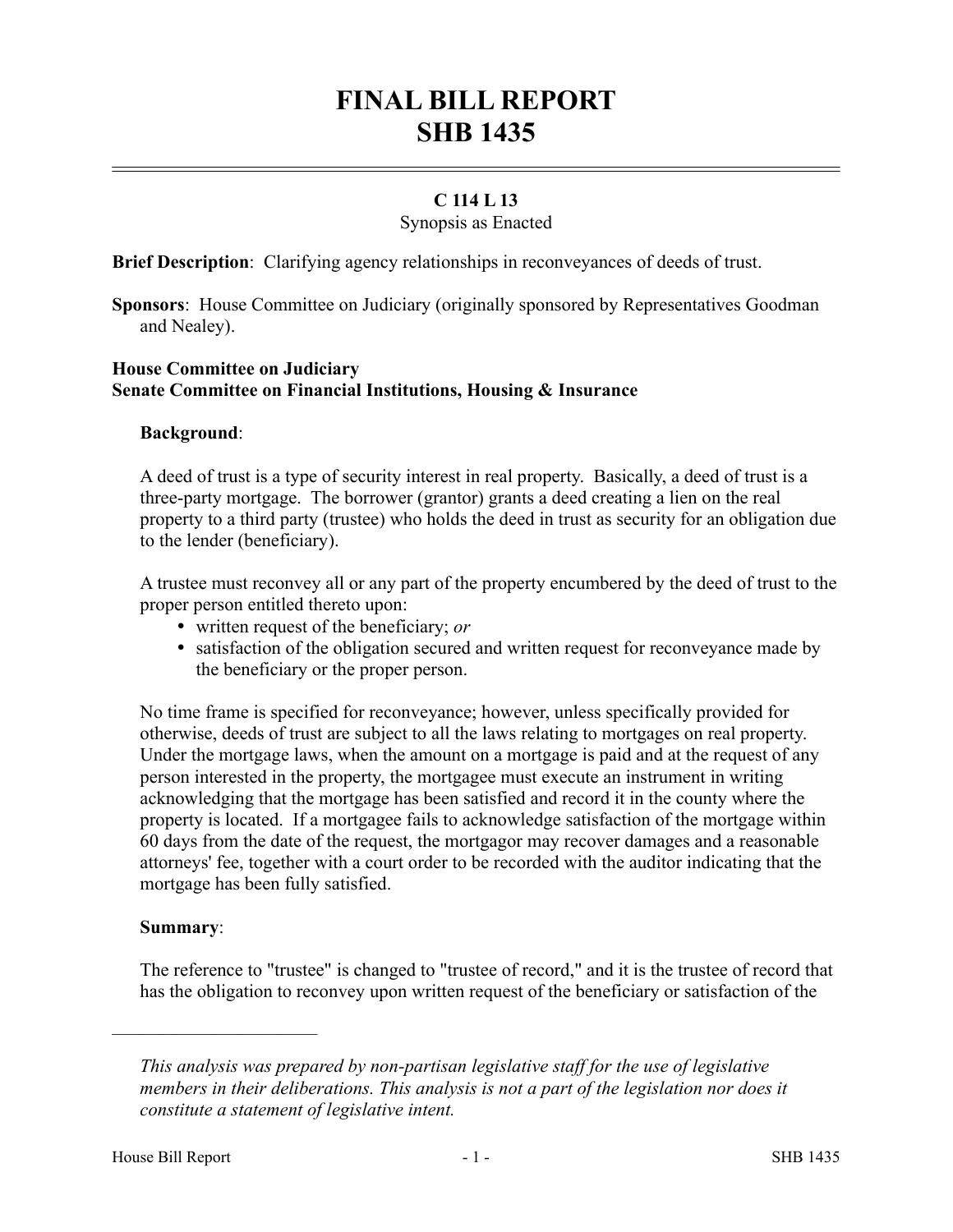# **FINAL BILL REPORT SHB 1435**

## **C 114 L 13**

### Synopsis as Enacted

**Brief Description**: Clarifying agency relationships in reconveyances of deeds of trust.

**Sponsors**: House Committee on Judiciary (originally sponsored by Representatives Goodman and Nealey).

## **House Committee on Judiciary Senate Committee on Financial Institutions, Housing & Insurance**

#### **Background**:

A deed of trust is a type of security interest in real property. Basically, a deed of trust is a three-party mortgage. The borrower (grantor) grants a deed creating a lien on the real property to a third party (trustee) who holds the deed in trust as security for an obligation due to the lender (beneficiary).

A trustee must reconvey all or any part of the property encumbered by the deed of trust to the proper person entitled thereto upon:

- written request of the beneficiary; *or*
- satisfaction of the obligation secured and written request for reconveyance made by the beneficiary or the proper person.

No time frame is specified for reconveyance; however, unless specifically provided for otherwise, deeds of trust are subject to all the laws relating to mortgages on real property. Under the mortgage laws, when the amount on a mortgage is paid and at the request of any person interested in the property, the mortgagee must execute an instrument in writing acknowledging that the mortgage has been satisfied and record it in the county where the property is located. If a mortgagee fails to acknowledge satisfaction of the mortgage within 60 days from the date of the request, the mortgagor may recover damages and a reasonable attorneys' fee, together with a court order to be recorded with the auditor indicating that the mortgage has been fully satisfied.

#### **Summary**:

––––––––––––––––––––––

The reference to "trustee" is changed to "trustee of record," and it is the trustee of record that has the obligation to reconvey upon written request of the beneficiary or satisfaction of the

*This analysis was prepared by non-partisan legislative staff for the use of legislative members in their deliberations. This analysis is not a part of the legislation nor does it constitute a statement of legislative intent.*